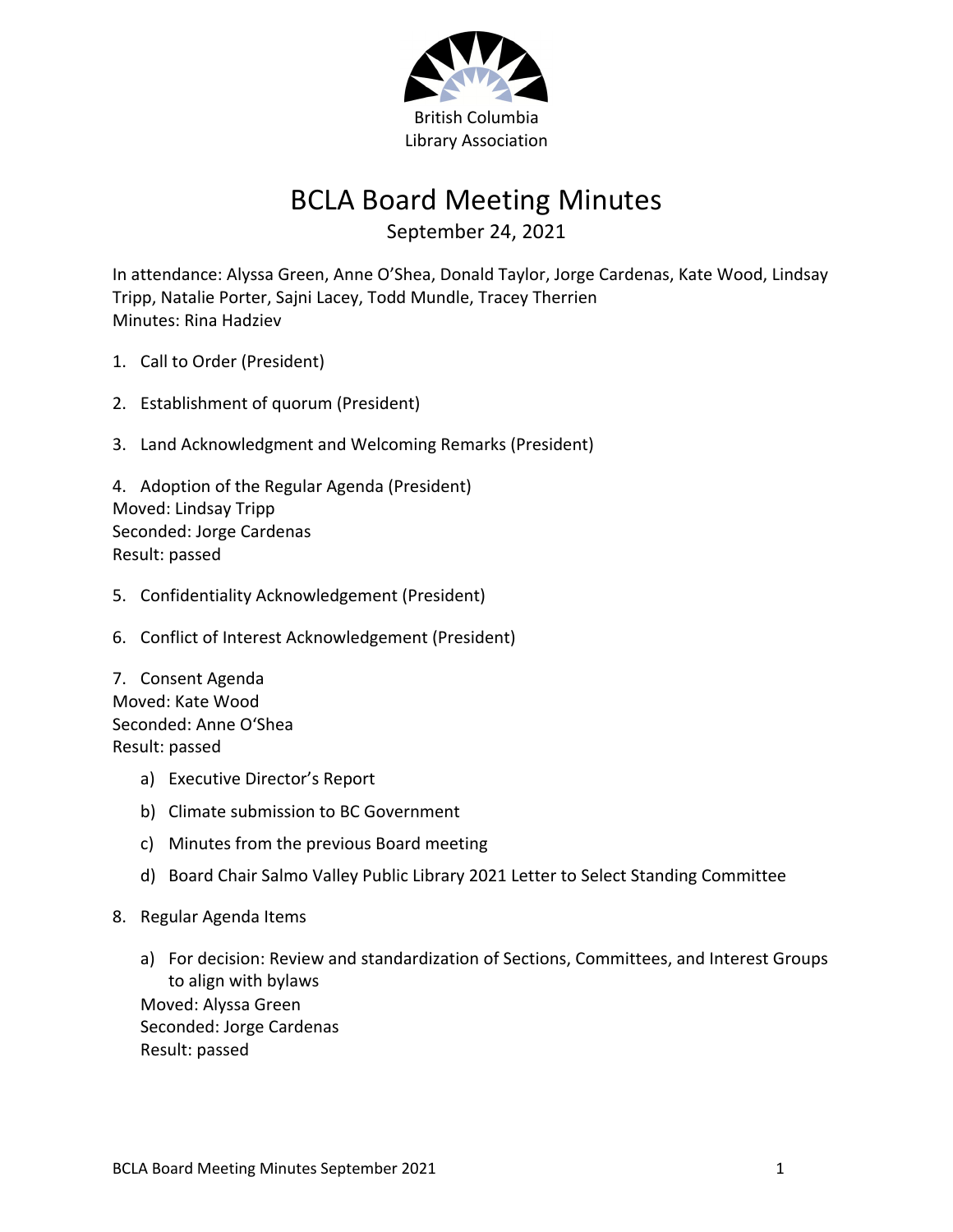

## BCLA Board Meeting Minutes

September 24, 2021

In attendance: Alyssa Green, Anne O'Shea, Donald Taylor, Jorge Cardenas, Kate Wood, Lindsay Tripp, Natalie Porter, Sajni Lacey, Todd Mundle, Tracey Therrien Minutes: Rina Hadziev

- 1. Call to Order (President)
- 2. Establishment of quorum (President)
- 3. Land Acknowledgment and Welcoming Remarks (President)

4. Adoption of the Regular Agenda (President) Moved: Lindsay Tripp Seconded: Jorge Cardenas Result: passed

- 5. Confidentiality Acknowledgement (President)
- 6. Conflict of Interest Acknowledgement (President)

7. Consent Agenda Moved: Kate Wood Seconded: Anne O'Shea Result: passed

- a) Executive Director's Report
- b) Climate submission to BC Government
- c) Minutes from the previous Board meeting
- d) Board Chair Salmo Valley Public Library 2021 Letter to Select Standing Committee
- 8. Regular Agenda Items
	- a) For decision: Review and standardization of Sections, Committees, and Interest Groups to align with bylaws Moved: Alyssa Green Seconded: Jorge Cardenas Result: passed